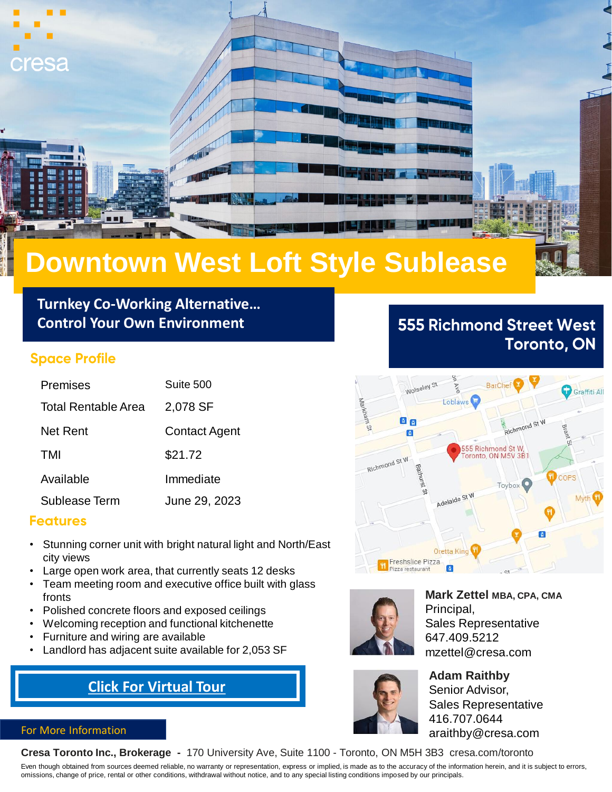

# **Downtown West Loft Style Sublease**

**Turnkey Co-Working Alternative… Control Your Own Environment**

### **Space Profile**

| Premises            | Suite 500            |
|---------------------|----------------------|
| Total Rentable Area | 2,078 SF             |
| Net Rent            | <b>Contact Agent</b> |
| TMI                 | \$21.72              |
| Available           | Immediate            |
| Sublease Term       | June 29, 2023        |

## **Features**

- Stunning corner unit with bright natural light and North/East city views
- Large open work area, that currently seats 12 desks
- Team meeting room and executive office built with glass fronts
- Polished concrete floors and exposed ceilings
- Welcoming reception and functional kitchenette
- Furniture and wiring are available
- Landlord has adjacent suite available for 2,053 SF

# **[Click For Virtual Tour](https://my.matterport.com/show/?m=hextFr4e57y)**

### 66 Richmond St O 55 Richmond St W,<br>Toronto, ON M5V 3B1

Toybox

**BarCh** 

**555 Richmond Street West** 

**Toronto, ON** 

Graffiti All



Richmond St W

Wolseley

Freshslice Pizza Pizza restaurant

**Loblaws** 

Adelaide St

Oretta King

**Mark Zettel MBA, CPA, CMA** Principal, Sales Representative 647.409.5212 mzettel@cresa.com

**Adam Raithby** Senior Advisor, Sales Representative 416.707.0644 araithby@cresa.com

### For More Information

**Cresa Toronto Inc., Brokerage -** 170 University Ave, Suite 1100 - Toronto, ON M5H 3B3 cresa.com/toronto

Even though obtained from sources deemed reliable, no warranty or representation, express or implied, is made as to the accuracy of the information herein, and it is subject to errors, omissions, change of price, rental or other conditions, withdrawal without notice, and to any special listing conditions imposed by our principals.